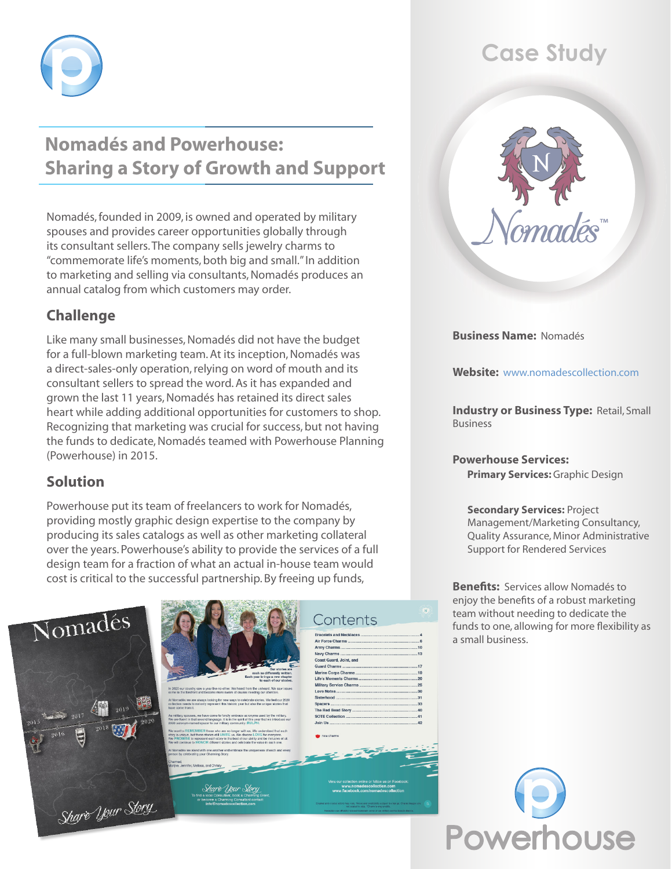

# **Nomadés and Powerhouse: Sharing a Story of Growth and Support**

Nomadés, founded in 2009, is owned and operated by military spouses and provides career opportunities globally through its consultant sellers. The company sells jewelry charms to "commemorate life's moments, both big and small." In addition to marketing and selling via consultants, Nomadés produces an annual catalog from which customers may order.

## **Challenge**

Like many small businesses, Nomadés did not have the budget for a full-blown marketing team. At its inception, Nomadés was a direct-sales-only operation, relying on word of mouth and its consultant sellers to spread the word. As it has expanded and grown the last 11 years, Nomadés has retained its direct sales heart while adding additional opportunities for customers to shop. Recognizing that marketing was crucial for success, but not having the funds to dedicate, Nomadés teamed with Powerhouse Planning (Powerhouse) in 2015.

## **Solution**

Powerhouse put its team of freelancers to work for Nomadés, providing mostly graphic design expertise to the company by producing its sales catalogs as well as other marketing collateral over the years. Powerhouse's ability to provide the services of a full design team for a fraction of what an actual in-house team would cost is critical to the successful partnership. By freeing up funds,





# Contents

**Army Charms.** lavy Charms .<br>Coast Guard, Joint, and Coast Guard, John, an<br>Suard Charms ............<br>Marine Corps Charms<br>.ife's Moments Charm **Military Service Charms Love Notes** 

# **Case Study**



**Business Name:** Nomadés

**Website:** <www.nomadescollection.com>

**Industry or Business Type: Retail, Small** Business

**Powerhouse Services: Primary Services:** Graphic Design

#### **Secondary Services:** Project Management/Marketing Consultancy, Quality Assurance, Minor Administrative Support for Rendered Services

**Benefits:** Services allow Nomadés to enjoy the benefits of a robust marketing team without needing to dedicate the funds to one, allowing for more flexibility as a small business.

**Powerhouse**